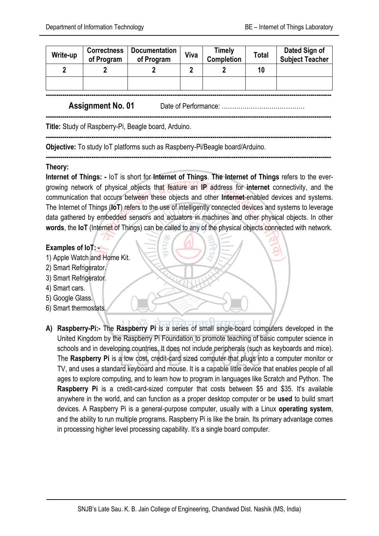| Write-up | <b>Correctness</b><br>of Program | <b>Documentation</b><br>of Program | Viva | <b>Timely</b><br><b>Completion</b> | Total | Dated Sign of<br><b>Subject Teacher</b> |
|----------|----------------------------------|------------------------------------|------|------------------------------------|-------|-----------------------------------------|
|          |                                  |                                    |      |                                    | 10    |                                         |
|          |                                  |                                    |      |                                    |       |                                         |

**-----------------------------------------------------------------------------------------------------------------------------------------**

**-----------------------------------------------------------------------------------------------------------------------------------------**

**-----------------------------------------------------------------------------------------------------------------------------------------**

**-----------------------------------------------------------------------------------------------------------------------------------------**

**Assignment No. 01** Date of Performance: ………………….………………

**Title:** Study of Raspberry-Pi, Beagle board, Arduino.

**Objective:** To study IoT platforms such as Raspberry-Pi/Beagle board/Arduino.

#### **Theory:**

**Internet of Things: -** IoT is short for **Internet of Things**. **The Internet of Things** refers to the evergrowing network of physical objects that feature an **IP** address for **internet** connectivity, and the communication that occurs between these objects and other **Internet**-enabled devices and systems. The Internet of Things (**IoT**) refers to the use of intelligently connected devices and systems to leverage data gathered by embedded sensors and actuators in machines and other physical objects. In other **words**, the **IoT** (Internet of Things) can be called to any of the physical objects connected with network.

#### **Examples of IoT: -**

- 1) Apple Watch and Home Kit.
- 2) Smart Refrigerator.
- 3) Smart Refrigerator.
- 4) Smart cars.
- 5) Google Glass.
- 6) Smart thermostats.
- **A) Raspberry-Pi:-** The **Raspberry Pi** is a series of small [single-board computers](https://en.wikipedia.org/wiki/Single-board_computer) developed in the [United Kingdom](https://en.wikipedia.org/wiki/United_Kingdom) by the [Raspberry Pi Foundation](https://en.wikipedia.org/wiki/Raspberry_Pi_Foundation) to promote teaching of basic [computer science](https://en.wikipedia.org/wiki/Computer_science) in schools and in [developing countries.](https://en.wikipedia.org/wiki/Developing_countries) It does not include peripherals (such as [keyboards](https://en.wikipedia.org/wiki/Keyboard_%28computing%29) and [mice\)](https://en.wikipedia.org/wiki/Mouse_%28computing%29). The **Raspberry Pi** is a low cost, credit-card sized computer that plugs into a computer monitor or TV, and uses a standard keyboard and mouse. It is a capable little device that enables people of all ages to explore computing, and to learn how to program in languages like Scratch and Python. The **Raspberry Pi** is a credit-card-sized computer that costs between \$5 and \$35. It's available anywhere in the world, and can function as a proper desktop computer or be **used** to build smart devices. A Raspberry Pi is a general-purpose computer, usually with a Linux **operating system**, and the ability to run multiple programs. Raspberry Pi is like the brain. Its primary advantage comes in processing higher level processing capability. It's a single board computer.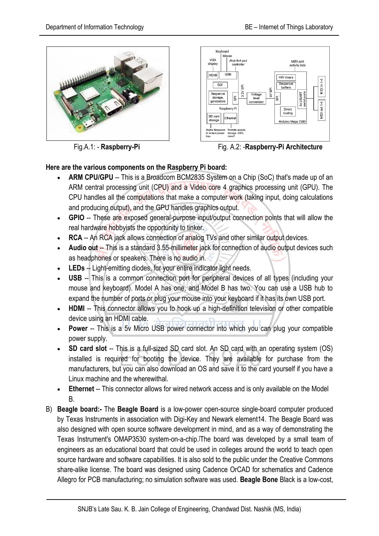



Fig.A.1: - **Raspberry-Pi** Fig. A.2: -**Raspberry-Pi Architecture**

## **Here are the various components on the Raspberry Pi board:**

- **ARM CPU/GPU** -- This is a Broadcom BCM2835 System on a Chip (SoC) that's made up of an ARM central processing unit (CPU) and a Video core 4 graphics processing unit (GPU). The CPU handles all the computations that make a computer work (taking input, doing calculations and producing output), and the GPU handles graphics output.
- **GPIO** -- These are exposed general-purpose input/output connection points that will allow the real hardware hobbyists the opportunity to tinker.
- **RCA** -- An RCA jack allows connection of analog TVs and other similar output devices.
- **Audio out** -- This is a standard 3.55-millimeter jack for connection of audio output devices such as headphones or speakers. There is no audio in.
- **LEDs** -- Light-emitting diodes, for your entire indicator light needs.
- **USB** -- This is a common connection port for peripheral devices of all types (including your mouse and keyboard). Model A has one, and Model B has two. You can use a USB hub to expand the number of ports or plug your mouse into your keyboard if it has its own USB port.
- **HDMI** -- This connector allows you to hook up a high-definition television or other compatible device using an HDMI cable.
- **Power** -- This is a 5v Micro USB power connector into which you can plug your compatible power supply.
- **SD card slot** -- This is a full-sized SD card slot. An SD card with an operating system (OS) installed is required for booting the device. They are available for purchase from the manufacturers, but you can also download an OS and save it to the card yourself if you have a Linux machine and the wherewithal.
- **Ethernet** -- This connector allows for wired network access and is only available on the Model B.
- B) **Beagle board:-** The **Beagle Board** is a low-power [open-source](https://en.wikipedia.org/wiki/Open-source_hardware) [single-board computer](https://en.wikipedia.org/wiki/Single-board_computer) produced by [Texas Instruments](https://en.wikipedia.org/wiki/Texas_Instruments) in association with [Digi-Key](https://en.wikipedia.org/wiki/Digi-Key) and [Newark element14.](https://en.wikipedia.org/wiki/Newark_element14) The Beagle Board was also designed with [open source software](https://en.wikipedia.org/wiki/Open_source_software) development in mind, and as a way of demonstrating the Texas Instrument's [OMAP3530](https://en.wikipedia.org/wiki/Texas_Instruments_OMAP) [system-on-a-chip.](https://en.wikipedia.org/wiki/System-on-a-chip) ]The board was developed by a small team of engineers as an educational board that could be used in colleges around the world to teach open source hardware and software capabilities. It is also sold to the public under the [Creative Commons](https://en.wikipedia.org/wiki/Creative_Commons) [share-alike](https://en.wikipedia.org/wiki/Share-alike) license. The board was designed using [Cadence](https://en.wikipedia.org/wiki/Cadence_Design_Systems) [OrCAD](https://en.wikipedia.org/wiki/OrCAD) for schematics and Cadence Allegro for PCB manufacturing; no simulation software was used. **Beagle Bone** Black is a low-cost,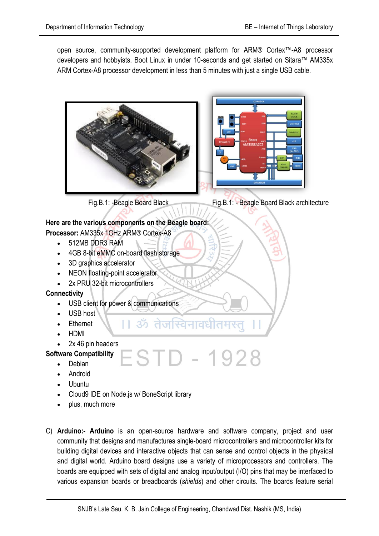open source, community-supported development platform for ARM® Cortex™-A8 processor developers and hobbyists. Boot Linux in under 10-seconds and get started on Sitara™ AM335x ARM Cortex-A8 processor development in less than 5 minutes with just a single USB cable.





# **Here are the various components on the Beagle board:**

- **Processor:** [AM335x 1GHz ARM® Cortex-A8](https://www.ti.com/product/am3358)
	- 512MB DDR3 RAM
	- 4GB 8-bit eMMC on-board flash storage
	- 3D graphics accelerator
	- NEON floating-point accelerator
	- 2x PRU 32-bit microcontrollers

## **Connectivity**

- USB client for power & communications
- $\bullet$  USB host
- Ethernet
- HDMI
- 2x 46 pin headers

## **Software Compatibility**

- Debian
- Android
- Ubuntu
- Cloud9 IDE on Node. is w/ BoneScript library
- plus, much more
- C) **Arduino:- Arduino** is an [open-source hardware](https://en.wikipedia.org/wiki/Open-source_hardware) and [software](https://en.wikipedia.org/wiki/Open-source_software) company, project and user community that designs and manufactures [single-board microcontrollers](https://en.wikipedia.org/wiki/Single-board_microcontroller) and [microcontroller](https://en.wikipedia.org/wiki/Microcontroller) kits for building digital devices and interactive objects that can sense and control objects in the physical and digital world. Arduino board designs use a variety of microprocessors and controllers. The boards are equipped with sets of digital and analog [input/output](https://en.wikipedia.org/wiki/Input/output) (I/O) pins that may be interfaced to various expansion boards or [breadboards](https://en.wikipedia.org/wiki/Breadboards) (*shields*) and other circuits. The boards feature serial

STD - 1928

।। ॐ तेजस्विनावधीतम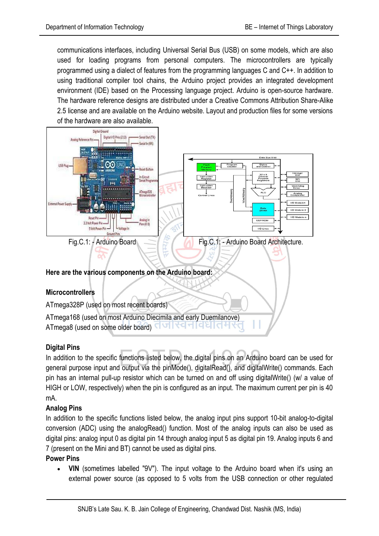communications interfaces, including [Universal Serial Bus](https://en.wikipedia.org/wiki/Universal_Serial_Bus) (USB) on some models, which are also used for loading programs from personal computers. The microcontrollers are typically programmed using a dialect of features from the programming languages [C](https://en.wikipedia.org/wiki/C_%28programming_language%29) and [C++.](https://en.wikipedia.org/wiki/C%2B%2B) In addition to using traditional [compiler](https://en.wikipedia.org/wiki/Compiler) tool [chains,](https://en.wikipedia.org/wiki/Toolchains) the Arduino project provides an [integrated development](https://en.wikipedia.org/wiki/Integrated_development_environment)  [environment](https://en.wikipedia.org/wiki/Integrated_development_environment) (IDE) based on the [Processing](https://en.wikipedia.org/wiki/Processing_%28programming_language%29) language project. Arduino is [open-source hardware.](https://en.wikipedia.org/wiki/Open-source_hardware) The hardware reference designs are distributed under a [Creative Commons](https://en.wikipedia.org/wiki/Creative_Commons) Attribution Share-Alike 2.5 license and are available on the Arduino website. Layout and production files for some versions of the hardware are also available.



## **Digital Pins**

In addition to the specific functions listed below, the digital pins on an Arduino board can be used for general purpose input and output via the [pinMode\(\),](https://www.arduino.cc/en/Reference/PinMode) [digitalRead\(\),](https://www.arduino.cc/en/Reference/DigitalRead) and [digitalWrite\(\)](https://www.arduino.cc/en/Reference/DigitalWrite) commands. Each pin has an internal pull-up resistor which can be turned on and off using digitalWrite() (w/ a value of HIGH or LOW, respectively) when the pin is configured as an input. The maximum current per pin is 40 mA.

## **Analog Pins**

In addition to the specific functions listed below, the analog input pins support 10-bit analog-to-digital conversion (ADC) using the [analogRead\(\)](https://www.arduino.cc/en/Reference/AnalogRead) function. Most of the analog inputs can also be used as digital pins: analog input 0 as digital pin 14 through analog input 5 as digital pin 19. Analog inputs 6 and 7 (present on the Mini and BT) cannot be used as digital pins.

#### **Power Pins**

 **VIN** (sometimes labelled "9V"). The input voltage to the Arduino board when it's using an external power source (as opposed to 5 volts from the USB connection or other regulated